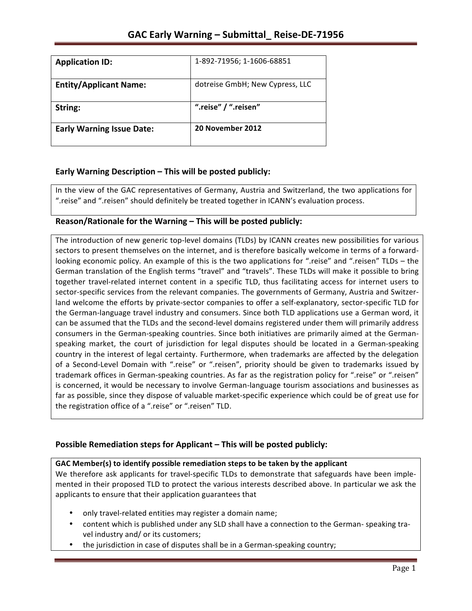| <b>Application ID:</b>           | 1-892-71956; 1-1606-68851       |
|----------------------------------|---------------------------------|
| <b>Entity/Applicant Name:</b>    | dotreise GmbH; New Cypress, LLC |
| String:                          | ".reise" / ".reisen"            |
| <b>Early Warning Issue Date:</b> | 20 November 2012                |

## **Early Warning Description – This will be posted publicly:**

In the view of the GAC representatives of Germany, Austria and Switzerland, the two applications for ".reise" and ".reisen" should definitely be treated together in ICANN's evaluation process.

## **Reason/Rationale for the Warning – This will be posted publicly:**

The introduction of new generic top-level domains (TLDs) by ICANN creates new possibilities for various sectors to present themselves on the internet, and is therefore basically welcome in terms of a forwardlooking economic policy. An example of this is the two applications for ".reise" and ".reisen" TLDs – the German translation of the English terms "travel" and "travels". These TLDs will make it possible to bring together travel-related internet content in a specific TLD, thus facilitating access for internet users to sector-specific services from the relevant companies. The governments of Germany, Austria and Switzerland welcome the efforts by private-sector companies to offer a self-explanatory, sector-specific TLD for the German-language travel industry and consumers. Since both TLD applications use a German word, it can be assumed that the TLDs and the second-level domains registered under them will primarily address consumers in the German-speaking countries. Since both initiatives are primarily aimed at the Germanspeaking market, the court of jurisdiction for legal disputes should be located in a German-speaking country in the interest of legal certainty. Furthermore, when trademarks are affected by the delegation of a Second-Level Domain with ".reise" or ".reisen", priority should be given to trademarks issued by trademark offices in German-speaking countries. As far as the registration policy for ".reise" or ".reisen" is concerned, it would be necessary to involve German-language tourism associations and businesses as far as possible, since they dispose of valuable market-specific experience which could be of great use for the registration office of a ".reise" or ".reisen" TLD.

## **Possible Remediation steps for Applicant – This will be posted publicly:**

## **GAC** Member(s) to identify possible remediation steps to be taken by the applicant

We therefore ask applicants for travel-specific TLDs to demonstrate that safeguards have been implemented in their proposed TLD to protect the various interests described above. In particular we ask the applicants to ensure that their application guarantees that

- only travel-related entities may register a domain name;
- content which is published under any SLD shall have a connection to the German- speaking travel industry and/ or its customers;
- the jurisdiction in case of disputes shall be in a German-speaking country;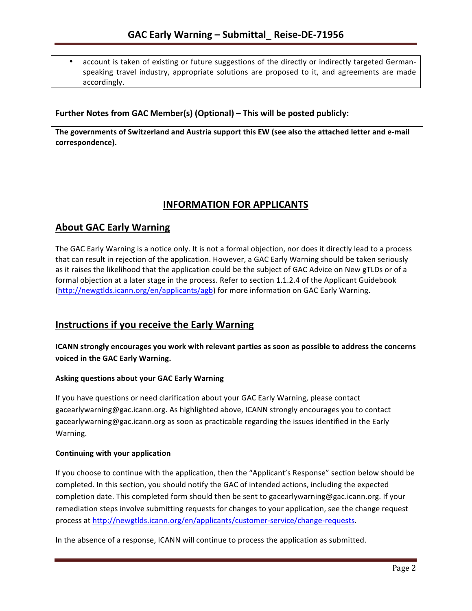account is taken of existing or future suggestions of the directly or indirectly targeted Germanspeaking travel industry, appropriate solutions are proposed to it, and agreements are made accordingly.

## **Further Notes from GAC Member(s) (Optional) – This will be posted publicly:**

The governments of Switzerland and Austria support this EW (see also the attached letter and e-mail **correspondence).**

# **INFORMATION FOR APPLICANTS**

# **About GAC Early Warning**

The GAC Early Warning is a notice only. It is not a formal objection, nor does it directly lead to a process that can result in rejection of the application. However, a GAC Early Warning should be taken seriously as it raises the likelihood that the application could be the subject of GAC Advice on New gTLDs or of a formal objection at a later stage in the process. Refer to section 1.1.2.4 of the Applicant Guidebook (http://newgtlds.icann.org/en/applicants/agb) for more information on GAC Early Warning.

# **Instructions if you receive the Early Warning**

**ICANN** strongly encourages you work with relevant parties as soon as possible to address the concerns **voiced in the GAC Early Warning.** 

## **Asking questions about your GAC Early Warning**

If you have questions or need clarification about your GAC Early Warning, please contact gacearlywarning@gac.icann.org. As highlighted above, ICANN strongly encourages you to contact gacearlywarning@gac.icann.org as soon as practicable regarding the issues identified in the Early Warning. 

#### **Continuing with your application**

If you choose to continue with the application, then the "Applicant's Response" section below should be completed. In this section, you should notify the GAC of intended actions, including the expected completion date. This completed form should then be sent to gacearlywarning@gac.icann.org. If your remediation steps involve submitting requests for changes to your application, see the change request process at http://newgtlds.icann.org/en/applicants/customer-service/change-requests.

In the absence of a response, ICANN will continue to process the application as submitted.